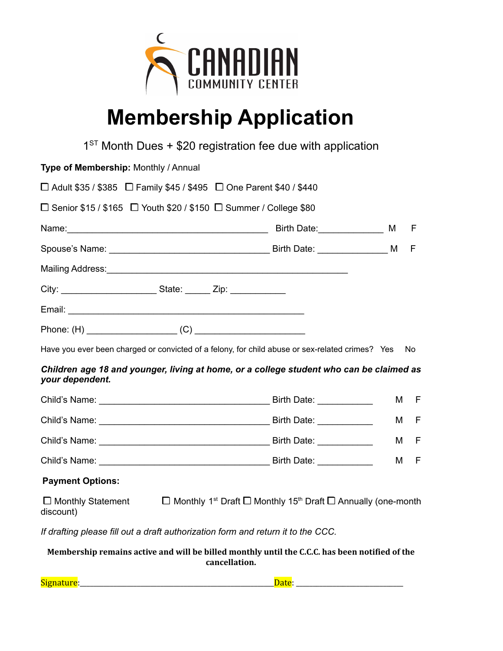

# **Membership Application**

|                                                                                                            |               | $1ST$ Month Dues + \$20 registration fee due with application                                         |     |      |
|------------------------------------------------------------------------------------------------------------|---------------|-------------------------------------------------------------------------------------------------------|-----|------|
| Type of Membership: Monthly / Annual                                                                       |               |                                                                                                       |     |      |
| $\Box$ Adult \$35 / \$385 $\Box$ Family \$45 / \$495 $\Box$ One Parent \$40 / \$440                        |               |                                                                                                       |     |      |
| $\Box$ Senior \$15 / \$165 $\Box$ Youth \$20 / \$150 $\Box$ Summer / College \$80                          |               |                                                                                                       |     |      |
|                                                                                                            |               |                                                                                                       | M F |      |
|                                                                                                            |               |                                                                                                       |     | F    |
|                                                                                                            |               |                                                                                                       |     |      |
| City: _________________________________State: ________ Zip: ____________________                           |               |                                                                                                       |     |      |
|                                                                                                            |               |                                                                                                       |     |      |
|                                                                                                            |               |                                                                                                       |     |      |
| Have you ever been charged or convicted of a felony, for child abuse or sex-related crimes? Yes No         |               |                                                                                                       |     |      |
| Children age 18 and younger, living at home, or a college student who can be claimed as<br>your dependent. |               |                                                                                                       |     |      |
|                                                                                                            |               |                                                                                                       | M   | - F  |
|                                                                                                            |               |                                                                                                       | M   | $-F$ |
|                                                                                                            |               |                                                                                                       |     | M F  |
|                                                                                                            |               |                                                                                                       | M   | $-F$ |
| <b>Payment Options:</b>                                                                                    |               |                                                                                                       |     |      |
| $\Box$ Monthly Statement<br>discount)                                                                      |               | $\Box$ Monthly 1 <sup>st</sup> Draft $\Box$ Monthly 15 <sup>th</sup> Draft $\Box$ Annually (one-month |     |      |
| If drafting please fill out a draft authorization form and return it to the CCC.                           |               |                                                                                                       |     |      |
| Membership remains active and will be billed monthly until the C.C.C. has been notified of the             | cancellation. |                                                                                                       |     |      |

Signature:\_\_\_\_\_\_\_\_\_\_\_\_\_\_\_\_\_\_\_\_\_\_\_\_\_\_\_\_\_\_\_\_\_\_\_\_\_\_\_\_\_\_\_\_\_\_\_\_\_\_\_\_\_\_\_\_\_\_Date: \_\_\_\_\_\_\_\_\_\_\_\_\_\_\_\_\_\_\_\_\_\_\_\_\_\_\_\_\_\_\_\_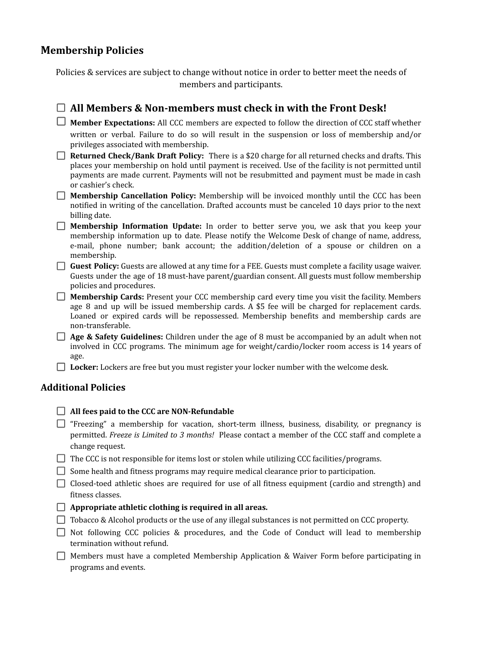### **Membership Policies**

Policies & services are subject to change without notice in order to better meet the needs of members and participants.

#### **All Members & Non-members must check in with the Front Desk! Member Expectations:** All CCC members are expected to follow the direction of CCC staff whether written or verbal. Failure to do so will result in the suspension or loss of membership and/or privileges associated with membership.

- **Returned Check/Bank Draft Policy:** There is a \$20 charge for all returned checks and drafts. This places your membership on hold until payment is received. Use of the facility is not permitted until payments are made current. Payments will not be resubmitted and payment must be made in cash or cashier's check.
- **Membership Cancellation Policy:** Membership will be invoiced monthly until the CCC has been notified in writing of the cancellation. Drafted accounts must be canceled 10 days prior to the next billing date.
- **Membership Information Update:** In order to better serve you, we ask that you keep your membership information up to date. Please notify the Welcome Desk of change of name, address, e-mail, phone number; bank account; the addition/deletion of a spouse or children on a membership.
- **Guest Policy:** Guests are allowed at any time for a FEE. Guests must complete a facility usage waiver. Guests under the age of 18 must-have parent/guardian consent. All guests must follow membership policies and procedures.
- **Membership Cards:** Present your CCC membership card every time you visit the facility. Members age 8 and up will be issued membership cards. A \$5 fee will be charged for replacement cards. Loaned or expired cards will be repossessed. Membership benefits and membership cards are non-transferable.
- **Age & Safety Guidelines:** Children under the age of 8 must be accompanied by an adult when not involved in CCC programs. The minimum age for weight/cardio/locker room access is 14 years of age.
- **Locker:** Lockers are free but you must register your locker number with the welcome desk.

#### **Additional Policies**

|  |  |  |  | $\Box$ All fees paid to the CCC are NON-Refundable |
|--|--|--|--|----------------------------------------------------|
|--|--|--|--|----------------------------------------------------|

- $\Box$  "Freezing" a membership for vacation, short-term illness, business, disability, or pregnancy is permitted. *Freeze is Limited to 3 months!* Please contact a member of the CCC staff and complete a change request.
- $\Box$  The CCC is not responsible for items lost or stolen while utilizing CCC facilities/programs.
- $\Box$  Some health and fitness programs may require medical clearance prior to participation.
- Closed-toed athletic shoes are required for use of all fitness equipment (cardio and strength) and fitness classes.
- **Appropriate athletic clothing is required in all areas.**
- $\Box$  Tobacco & Alcohol products or the use of any illegal substances is not permitted on CCC property.
- $\Box$  Not following CCC policies & procedures, and the Code of Conduct will lead to membership termination without refund.
- $\Box$  Members must have a completed Membership Application & Waiver Form before participating in programs and events.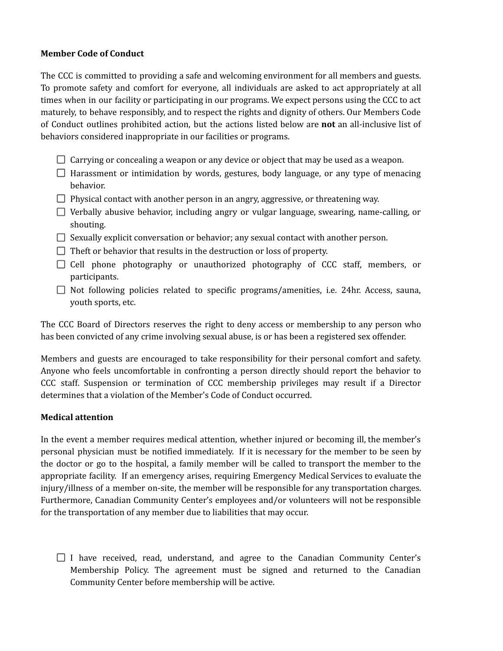#### **Member Code of Conduct**

The CCC is committed to providing a safe and welcoming environment for all members and guests. To promote safety and comfort for everyone, all individuals are asked to act appropriately at all times when in our facility or participating in our programs. We expect persons using the CCC to act maturely, to behave responsibly, and to respect the rights and dignity of others. Our Members Code of Conduct outlines prohibited action, but the actions listed below are **not** an all-inclusive list of behaviors considered inappropriate in our facilities or programs.

- $\Box$  Carrying or concealing a weapon or any device or object that may be used as a weapon.
- $\Box$  Harassment or intimidation by words, gestures, body language, or any type of menacing behavior.
- $\Box$  Physical contact with another person in an angry, aggressive, or threatening way.
- Verbally abusive behavior, including angry or vulgar language, swearing, name-calling, or shouting.
- $\Box$  Sexually explicit conversation or behavior; any sexual contact with another person.
- $\Box$  Theft or behavior that results in the destruction or loss of property.
- $\Box$  Cell phone photography or unauthorized photography of CCC staff, members, or participants.
- $\Box$  Not following policies related to specific programs/amenities, i.e. 24hr. Access, sauna, youth sports, etc.

The CCC Board of Directors reserves the right to deny access or membership to any person who has been convicted of any crime involving sexual abuse, is or has been a registered sex offender.

Members and guests are encouraged to take responsibility for their personal comfort and safety. Anyone who feels uncomfortable in confronting a person directly should report the behavior to CCC staff. Suspension or termination of CCC membership privileges may result if a Director determines that a violation of the Member's Code of Conduct occurred.

#### **Medical attention**

In the event a member requires medical attention, whether injured or becoming ill, the member's personal physician must be notified immediately. If it is necessary for the member to be seen by the doctor or go to the hospital, a family member will be called to transport the member to the appropriate facility. If an emergency arises, requiring Emergency Medical Services to evaluate the injury/illness of a member on-site, the member will be responsible for any transportation charges. Furthermore, Canadian Community Center's employees and/or volunteers will not be responsible for the transportation of any member due to liabilities that may occur.

 $\Box$  I have received, read, understand, and agree to the Canadian Community Center's Membership Policy. The agreement must be signed and returned to the Canadian Community Center before membership will be active.